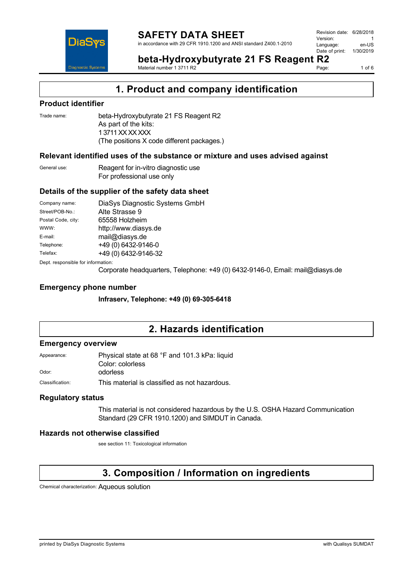

Revision date: 6/28/2018 Version: 1<br>Language: en-LIS Language: Date of print: 1/30/2019



**beta-Hydroxybutyrate 21 FS Reagent R2** Material number 1 3711 R2

1 of  $6$ 

### **1. Product and company identification**

#### **Product identifier**

Trade name: beta-Hydroxybutyrate 21 FS Reagent R2 As part of the kits: 1 3711 XX XX XXX (The positions X code different packages.)

#### **Relevant identified uses of the substance or mixture and uses advised against**

General use: Reagent for in-vitro diagnostic use For professional use only

#### **Details of the supplier of the safety data sheet**

| Company name:                      | DiaSys Diagnostic Systems GmbH |  |
|------------------------------------|--------------------------------|--|
| Street/POB-No.:                    | Alte Strasse 9                 |  |
| Postal Code, city:                 | 65558 Holzheim                 |  |
| WWW:                               | http://www.diasys.de           |  |
| E-mail:                            | mail@diasys.de                 |  |
| Telephone:                         | +49 (0) 6432-9146-0            |  |
| Telefax:                           | +49 (0) 6432-9146-32           |  |
| Dept. responsible for information: |                                |  |

Corporate headquarters, Telephone: +49 (0) 6432-9146-0, Email: mail@diasys.de

#### **Emergency phone number**

**Infraserv, Telephone: +49 (0) 69-305-6418**

### **2. Hazards identification**

#### **Emergency overview**

| Appearance:     | Physical state at 68 °F and 101.3 kPa: liquid |  |  |  |
|-----------------|-----------------------------------------------|--|--|--|
|                 | Color: colorless                              |  |  |  |
| Odor:           | odorless                                      |  |  |  |
| Classification: | This material is classified as not hazardous. |  |  |  |

#### **Regulatory status**

This material is not considered hazardous by the U.S. OSHA Hazard Communication Standard (29 CFR 1910.1200) and SIMDUT in Canada.

#### **Hazards not otherwise classified**

see section 11: Toxicological information

### **3. Composition / Information on ingredients**

Chemical characterization: Aqueous solution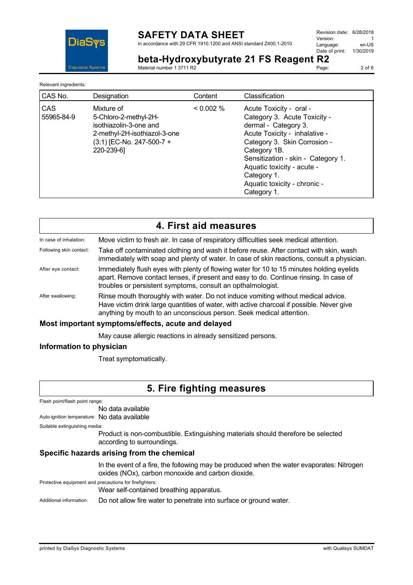

in accordance with 29 CFR 1910.1200 and ANSI standard Z400.1-2010

Revision date: 6/28/2018 Version: 1<br>Language: en-LIS Language: Date of print: 1/30/2019

**beta-Hydroxybutyrate 21 FS Reagent R2** Material number 1 3711 R2

Page: 2 of 6

| Relevant ingredients: |                                                                                                                                            |           |                                                                                                                                                                                                                                                                                                    |
|-----------------------|--------------------------------------------------------------------------------------------------------------------------------------------|-----------|----------------------------------------------------------------------------------------------------------------------------------------------------------------------------------------------------------------------------------------------------------------------------------------------------|
| CAS No.               | Designation                                                                                                                                | Content   | Classification                                                                                                                                                                                                                                                                                     |
| CAS<br>55965-84-9     | Mixture of<br>5-Chloro-2-methyl-2H-<br>isothiazolin-3-one and<br>2-methyl-2H-isothiazol-3-one<br>$(3:1)$ [EC-No. 247-500-7 +<br>220-239-61 | $0.002\%$ | Acute Toxicity - oral -<br>Category 3. Acute Toxicity -<br>dermal - Category 3.<br>Acute Toxicity - inhalative -<br>Category 3. Skin Corrosion -<br>Category 1B.<br>Sensitization - skin - Category 1.<br>Aquatic toxicity - acute -<br>Category 1.<br>Aquatic toxicity - chronic -<br>Category 1. |

|                                                    | 4. First aid measures                                                                                                                                                                                                                                 |  |
|----------------------------------------------------|-------------------------------------------------------------------------------------------------------------------------------------------------------------------------------------------------------------------------------------------------------|--|
| In case of inhalation:                             | Move victim to fresh air. In case of respiratory difficulties seek medical attention.                                                                                                                                                                 |  |
| Following skin contact:                            | Take off contaminated clothing and wash it before reuse. After contact with skin, wash<br>immediately with soap and plenty of water. In case of skin reactions, consult a physician.                                                                  |  |
| After eye contact:                                 | Immediately flush eyes with plenty of flowing water for 10 to 15 minutes holding eyelids<br>apart. Remove contact lenses, if present and easy to do. Continue rinsing. In case of<br>troubles or persistent symptoms, consult an opthalmologist.      |  |
| After swallowing:                                  | Rinse mouth thoroughly with water. Do not induce vomiting without medical advice.<br>Have victim drink large quantities of water, with active charcoal if possible. Never give<br>anything by mouth to an unconscious person. Seek medical attention. |  |
| Most important symptoms/effects, acute and delayed |                                                                                                                                                                                                                                                       |  |

#### May cause allergic reactions in already sensitized persons.

#### **Information to physician**

Treat symptomatically.

### **5. Fire fighting measures**

Flash point/flash point range:

No data available

Auto-ignition temperature: No data available

Suitable extinguishing media:

Product is non-combustible. Extinguishing materials should therefore be selected according to surroundings.

#### **Specific hazards arising from the chemical**

In the event of a fire, the following may be produced when the water evaporates: Nitrogen oxides (NOx), carbon monoxide and carbon dioxide.

Protective equipment and precautions for firefighters:

Wear self-contained breathing apparatus.

Additional information: Do not allow fire water to penetrate into surface or ground water.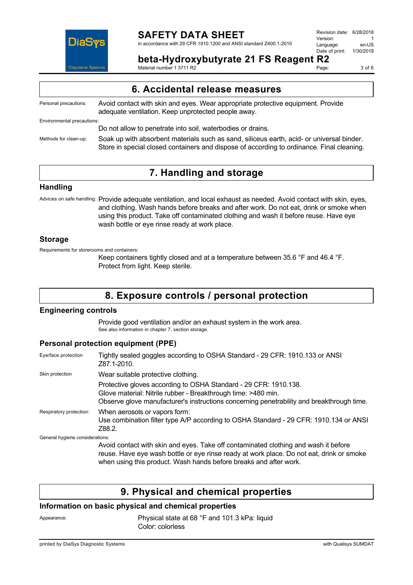

in accordance with 29 CFR 1910.1200 and ANSI standard Z400.1-2010

| Revision date: 6/28/2018 |           |
|--------------------------|-----------|
| Version:                 |           |
| Language:                | en-US     |
| Date of print:           | 1/30/2019 |
|                          |           |

**beta-Hydroxybutyrate 21 FS Reagent R2**

Material number 1 3711 R2

Page: 3 of 6

| 6. Accidental release measures |                                                                                                                                                                                        |  |  |
|--------------------------------|----------------------------------------------------------------------------------------------------------------------------------------------------------------------------------------|--|--|
| Personal precautions:          | Avoid contact with skin and eyes. Wear appropriate protective equipment. Provide<br>adequate ventilation. Keep unprotected people away.                                                |  |  |
| Environmental precautions:     |                                                                                                                                                                                        |  |  |
|                                | Do not allow to penetrate into soil, waterbodies or drains.                                                                                                                            |  |  |
| Methods for clean-up:          | Soak up with absorbent materials such as sand, siliceus earth, acid- or universal binder.<br>Store in special closed containers and dispose of according to ordinance. Final cleaning. |  |  |

### **7. Handling and storage**

#### **Handling**

Advices on safe handling: Provide adequate ventilation, and local exhaust as needed. Avoid contact with skin, eyes, and clothing. Wash hands before breaks and after work. Do not eat, drink or smoke when using this product. Take off contaminated clothing and wash it before reuse. Have eye wash bottle or eye rinse ready at work place.

#### **Storage**

Requirements for storerooms and containers:

Keep containers tightly closed and at a temperature between 35.6 °F and 46.4 °F. Protect from light. Keep sterile.

### **8. Exposure controls / personal protection**

#### **Engineering controls**

Provide good ventilation and/or an exhaust system in the work area. See also information in chapter 7, section storage.

#### **Personal protection equipment (PPE)**

| Eye/face protection             | Tightly sealed goggles according to OSHA Standard - 29 CFR: 1910.133 or ANSI<br>Z87.1-2010.                                                                                                                                                          |
|---------------------------------|------------------------------------------------------------------------------------------------------------------------------------------------------------------------------------------------------------------------------------------------------|
| Skin protection                 | Wear suitable protective clothing.                                                                                                                                                                                                                   |
|                                 | Protective gloves according to OSHA Standard - 29 CFR: 1910.138.<br>Glove material: Nitrile rubber - Breakthrough time: >480 min.<br>Observe glove manufacturer's instructions concerning penetrability and breakthrough time.                       |
| Respiratory protection:         | When aerosols or vapors form:<br>Use combination filter type A/P according to OSHA Standard - 29 CFR: 1910.134 or ANSI<br>Z88.2.                                                                                                                     |
| General hygiene considerations: |                                                                                                                                                                                                                                                      |
|                                 | Avoid contact with skin and eyes. Take off contaminated clothing and wash it before<br>reuse. Have eye wash bottle or eye rinse ready at work place. Do not eat, drink or smoke<br>when using this product. Wash hands before breaks and after work. |

### **9. Physical and chemical properties**

#### **Information on basic physical and chemical properties**

Appearance: Physical state at 68 °F and 101.3 kPa: liquid Color: colorless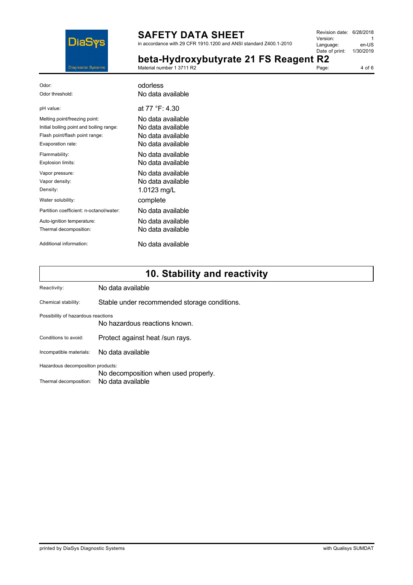

in accordance with 29 CFR 1910.1200 and ANSI standard Z400.1-2010

| Revision date: 6/28/2018 |           |
|--------------------------|-----------|
| Version:                 |           |
| Language:                | en-US     |
| Date of print:           | 1/30/2019 |
| ۱t<br>R7                 |           |

**bota Hydroxybutyrate 21 FS Peagent** 

|                    | beta-rivaroxybutyrate 21 FS Reagent R2 |       |        |
|--------------------|----------------------------------------|-------|--------|
| Diagnostic Systems | Material number 1 3711 R2              | Page: | 4 of 6 |
|                    |                                        |       |        |

| Odor:                                    | odorless          |
|------------------------------------------|-------------------|
| Odor threshold:                          | No data available |
| pH value:                                | at 77 °F: 4 30    |
| Melting point/freezing point:            | No data available |
| Initial boiling point and boiling range: | No data available |
| Flash point/flash point range:           | No data available |
| Evaporation rate:                        | No data available |
| Flammability:                            | No data available |
| Explosion limits:                        | No data available |
| Vapor pressure:                          | No data available |
| Vapor density:                           | No data available |
| Density:                                 | 1.0123 mg/L       |
| Water solubility:                        | complete          |
| Partition coefficient: n-octanol/water:  | No data available |
| Auto-ignition temperature:               | No data available |
| Thermal decomposition:                   | No data available |
| Additional information:                  | No data available |

# **10. Stability and reactivity**

| Reactivity:                        | No data available                            |  |
|------------------------------------|----------------------------------------------|--|
| Chemical stability:                | Stable under recommended storage conditions. |  |
| Possibility of hazardous reactions | No hazardous reactions known.                |  |
| Conditions to avoid:               | Protect against heat /sun rays.              |  |
| Incompatible materials:            | No data available                            |  |
| Hazardous decomposition products:  |                                              |  |
|                                    | No decomposition when used properly.         |  |
| Thermal decomposition:             | No data available                            |  |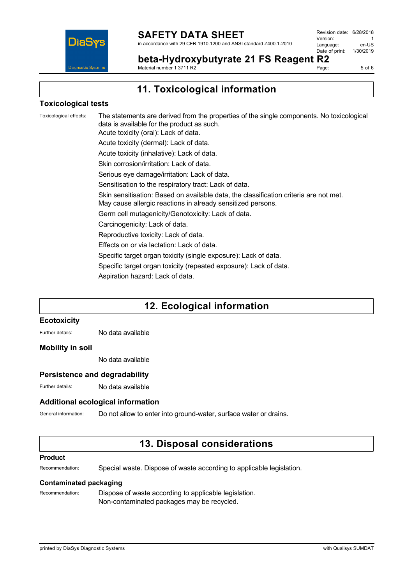

Revision date: 6/28/2018 Version: 1<br>Language: en-LIS Language: Date of print: 1/30/2019

**beta-Hydroxybutyrate 21 FS Reagent R2** Material number 1 3711 R2

Page: 5 of 6

**11. Toxicological information**

#### **Toxicological tests**

Toxicological effects: The statements are derived from the properties of the single components. No toxicological data is available for the product as such. Acute toxicity (oral): Lack of data. Acute toxicity (dermal): Lack of data. Acute toxicity (inhalative): Lack of data. Skin corrosion/irritation: Lack of data. Serious eye damage/irritation: Lack of data. Sensitisation to the respiratory tract: Lack of data. Skin sensitisation: Based on available data, the classification criteria are not met. May cause allergic reactions in already sensitized persons. Germ cell mutagenicity/Genotoxicity: Lack of data. Carcinogenicity: Lack of data. Reproductive toxicity: Lack of data. Effects on or via lactation: Lack of data. Specific target organ toxicity (single exposure): Lack of data. Specific target organ toxicity (repeated exposure): Lack of data. Aspiration hazard: Lack of data.

### **12. Ecological information**

#### **Ecotoxicity**

Further details: No data available

#### **Mobility in soil**

No data available

#### **Persistence and degradability**

Further details: No data available

#### **Additional ecological information**

General information: Do not allow to enter into ground-water, surface water or drains.

### **13. Disposal considerations**

#### **Product**

Recommendation: Special waste. Dispose of waste according to applicable legislation.

#### **Contaminated packaging**

Recommendation: Dispose of waste according to applicable legislation. Non-contaminated packages may be recycled.